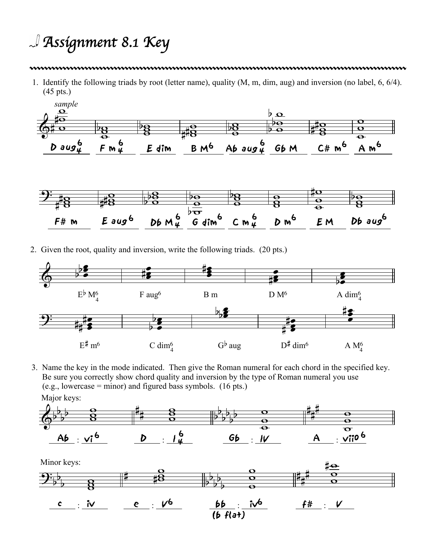## *Assignment 8.1 Key*

## 

1. Identify the following triads by root (letter name), quality (M, m, dim, aug) and inversion (no label, 6, 6/4). (45 pts.)



2. Given the root, quality and inversion, write the following triads. (20 pts.)



3. Name the key in the mode indicated. Then give the Roman numeral for each chord in the specified key. Be sure you correctly show chord quality and inversion by the type of Roman numeral you use  $(e.g., lowercase = minor)$  and figured bass symbols. (16 pts.) Major keys: